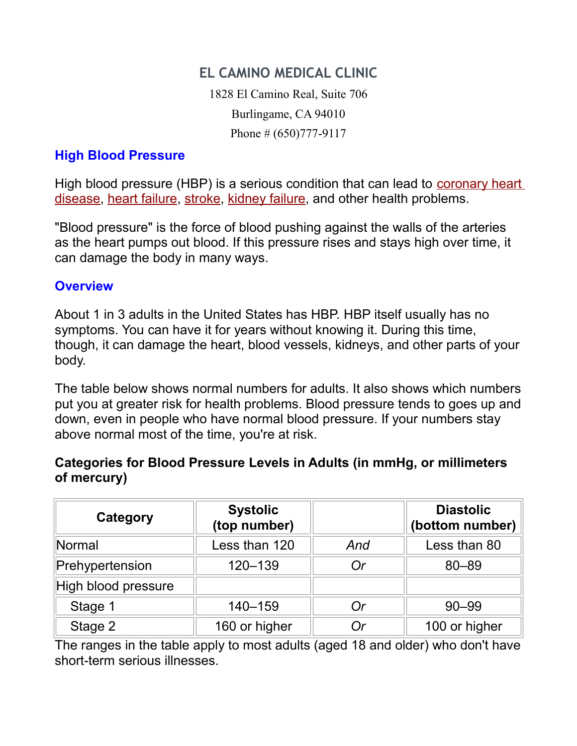# **EL CAMINO MEDICAL CLINIC**

1828 El Camino Real, Suite 706 Burlingame, CA 94010 Phone # (650)777-9117

### **High Blood Pressure**

High blood pressure (HBP) is a serious condition that can lead to [coronary heart](http://www.nhlbi.nih.gov/health/dci/Diseases/Cad/CAD_WhatIs.html) [disease,](http://www.nhlbi.nih.gov/health/dci/Diseases/Cad/CAD_WhatIs.html) [heart failure,](http://www.nhlbi.nih.gov/health/dci/Diseases/Hf/HF_WhatIs.html) [stroke,](http://www.nlm.nih.gov/medlineplus/ency/article/000726.htm) [kidney failure,](http://kidney.niddk.nih.gov/kudiseases/topics/failure.asp) and other health problems.

"Blood pressure" is the force of blood pushing against the walls of the arteries as the heart pumps out blood. If this pressure rises and stays high over time, it can damage the body in many ways.

#### **Overview**

About 1 in 3 adults in the United States has HBP. HBP itself usually has no symptoms. You can have it for years without knowing it. During this time, though, it can damage the heart, blood vessels, kidneys, and other parts of your body.

The table below shows normal numbers for adults. It also shows which numbers put you at greater risk for health problems. Blood pressure tends to goes up and down, even in people who have normal blood pressure. If your numbers stay above normal most of the time, you're at risk.

## **Categories for Blood Pressure Levels in Adults (in mmHg, or millimeters of mercury)**

| Category            | <b>Systolic</b><br>(top number) |     | <b>Diastolic</b><br>(bottom number) |
|---------------------|---------------------------------|-----|-------------------------------------|
| Normal              | Less than 120                   | And | Less than 80                        |
| Prehypertension     | 120-139                         | Or  | 80-89                               |
| High blood pressure |                                 |     |                                     |
| Stage 1             | 140-159                         | Or  | $90 - 99$                           |
| Stage 2             | 160 or higher                   | Or  | 100 or higher                       |

The ranges in the table apply to most adults (aged 18 and older) who don't have short-term serious illnesses.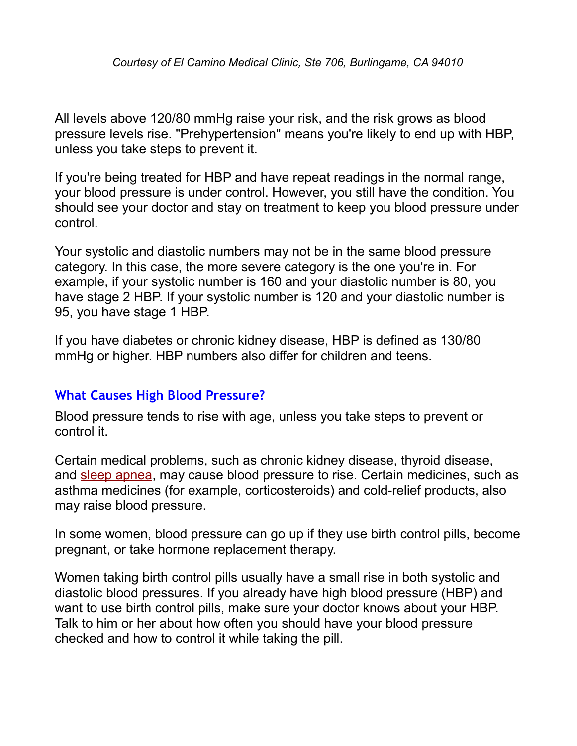All levels above 120/80 mmHg raise your risk, and the risk grows as blood pressure levels rise. "Prehypertension" means you're likely to end up with HBP, unless you take steps to prevent it.

If you're being treated for HBP and have repeat readings in the normal range, your blood pressure is under control. However, you still have the condition. You should see your doctor and stay on treatment to keep you blood pressure under control.

Your systolic and diastolic numbers may not be in the same blood pressure category. In this case, the more severe category is the one you're in. For example, if your systolic number is 160 and your diastolic number is 80, you have stage 2 HBP. If your systolic number is 120 and your diastolic number is 95, you have stage 1 HBP.

If you have diabetes or chronic kidney disease, HBP is defined as 130/80 mmHg or higher. HBP numbers also differ for children and teens.

## **What Causes High Blood Pressure?**

Blood pressure tends to rise with age, unless you take steps to prevent or control it.

Certain medical problems, such as chronic kidney disease, thyroid disease, and [sleep apnea,](http://www.nhlbi.nih.gov/health/dci/Diseases/SleepApnea/SleepApnea_WhatIs.html) may cause blood pressure to rise. Certain medicines, such as asthma medicines (for example, corticosteroids) and cold-relief products, also may raise blood pressure.

In some women, blood pressure can go up if they use birth control pills, become pregnant, or take hormone replacement therapy.

Women taking birth control pills usually have a small rise in both systolic and diastolic blood pressures. If you already have high blood pressure (HBP) and want to use birth control pills, make sure your doctor knows about your HBP. Talk to him or her about how often you should have your blood pressure checked and how to control it while taking the pill.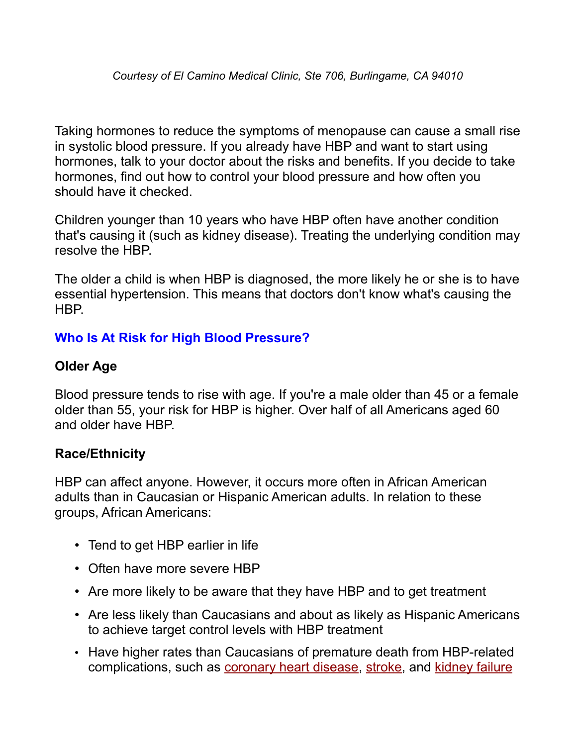Taking hormones to reduce the symptoms of menopause can cause a small rise in systolic blood pressure. If you already have HBP and want to start using hormones, talk to your doctor about the risks and benefits. If you decide to take hormones, find out how to control your blood pressure and how often you should have it checked.

Children younger than 10 years who have HBP often have another condition that's causing it (such as kidney disease). Treating the underlying condition may resolve the HBP.

The older a child is when HBP is diagnosed, the more likely he or she is to have essential hypertension. This means that doctors don't know what's causing the HBP.

## **Who Is At Risk for High Blood Pressure?**

## **Older Age**

Blood pressure tends to rise with age. If you're a male older than 45 or a female older than 55, your risk for HBP is higher. Over half of all Americans aged 60 and older have HBP.

#### **Race/Ethnicity**

HBP can affect anyone. However, it occurs more often in African American adults than in Caucasian or Hispanic American adults. In relation to these groups, African Americans:

- Tend to get HBP earlier in life
- Often have more severe HBP
- Are more likely to be aware that they have HBP and to get treatment
- Are less likely than Caucasians and about as likely as Hispanic Americans to achieve target control levels with HBP treatment
- Have higher rates than Caucasians of premature death from HBP-related complications, such as [coronary heart disease,](http://www.nhlbi.nih.gov/health/dci/Diseases/Cad/CAD_WhatIs.html) [stroke,](http://www.nlm.nih.gov/medlineplus/ency/article/000726.htm) and [kidney failure](http://kidney.niddk.nih.gov/kudiseases/topics/failure.asp)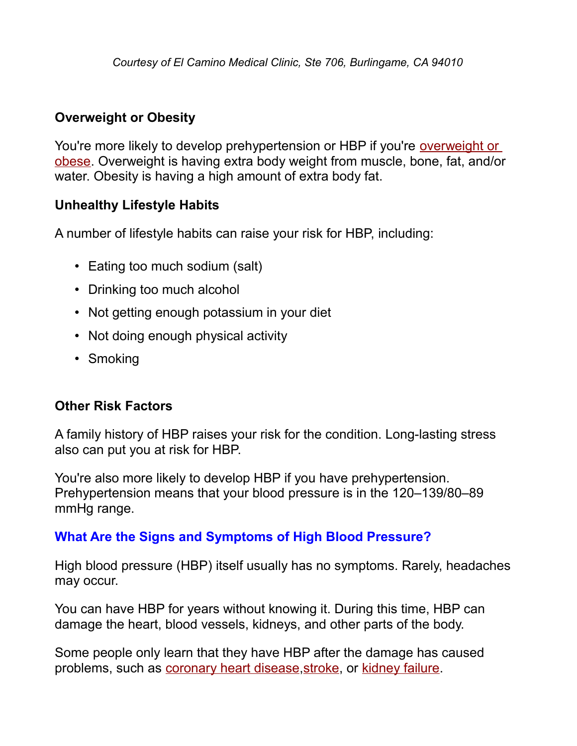## **Overweight or Obesity**

You're more likely to develop prehypertension or HBP if you're [overweight or](http://www.nhlbi.nih.gov/health/dci/Diseases/obe/obe_whatare.html) [obese.](http://www.nhlbi.nih.gov/health/dci/Diseases/obe/obe_whatare.html) Overweight is having extra body weight from muscle, bone, fat, and/or water. Obesity is having a high amount of extra body fat.

## **Unhealthy Lifestyle Habits**

A number of lifestyle habits can raise your risk for HBP, including:

- Eating too much sodium (salt)
- Drinking too much alcohol
- Not getting enough potassium in your diet
- Not doing enough physical activity
- Smoking

#### **Other Risk Factors**

A family history of HBP raises your risk for the condition. Long-lasting stress also can put you at risk for HBP.

You're also more likely to develop HBP if you have prehypertension. Prehypertension means that your blood pressure is in the 120–139/80–89 mmHg range.

## **What Are the Signs and Symptoms of High Blood Pressure?**

High blood pressure (HBP) itself usually has no symptoms. Rarely, headaches may occur.

You can have HBP for years without knowing it. During this time, HBP can damage the heart, blood vessels, kidneys, and other parts of the body.

Some people only learn that they have HBP after the damage has caused problems, such as [coronary heart disease](http://www.nhlbi.nih.gov/health/dci/Diseases/Cad/CAD_WhatIs.html)[,stroke,](http://www.nlm.nih.gov/medlineplus/ency/article/000726.htm) or [kidney failure.](http://kidney.niddk.nih.gov/kudiseases/topics/failure.asp)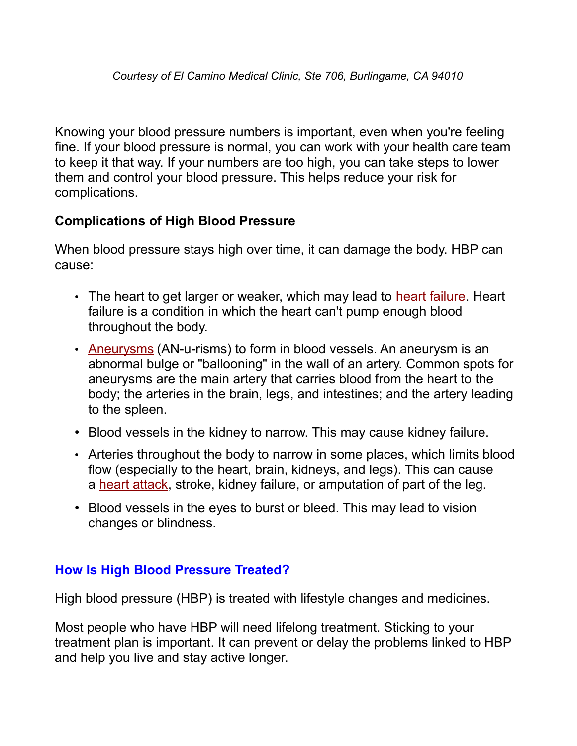Knowing your blood pressure numbers is important, even when you're feeling fine. If your blood pressure is normal, you can work with your health care team to keep it that way. If your numbers are too high, you can take steps to lower them and control your blood pressure. This helps reduce your risk for complications.

## **Complications of High Blood Pressure**

When blood pressure stays high over time, it can damage the body. HBP can cause:

- The heart to get larger or weaker, which may lead to [heart failure.](http://www.nhlbi.nih.gov/health/dci/Diseases/Hf/HF_WhatIs.html) Heart failure is a condition in which the heart can't pump enough blood throughout the body.
- • [Aneurysms](http://www.nhlbi.nih.gov/health/dci/Diseases/arm/arm_what.html) (AN-u-risms) to form in blood vessels. An aneurysm is an abnormal bulge or "ballooning" in the wall of an artery. Common spots for aneurysms are the main artery that carries blood from the heart to the body; the arteries in the brain, legs, and intestines; and the artery leading to the spleen.
- Blood vessels in the kidney to narrow. This may cause kidney failure.
- Arteries throughout the body to narrow in some places, which limits blood flow (especially to the heart, brain, kidneys, and legs). This can cause a [heart attack,](http://www.nhlbi.nih.gov/health/dci/Diseases/HeartAttack/HeartAttack_WhatIs.html) stroke, kidney failure, or amputation of part of the leg.
- Blood vessels in the eyes to burst or bleed. This may lead to vision changes or blindness.

#### **How Is High Blood Pressure Treated?**

High blood pressure (HBP) is treated with lifestyle changes and medicines.

Most people who have HBP will need lifelong treatment. Sticking to your treatment plan is important. It can prevent or delay the problems linked to HBP and help you live and stay active longer.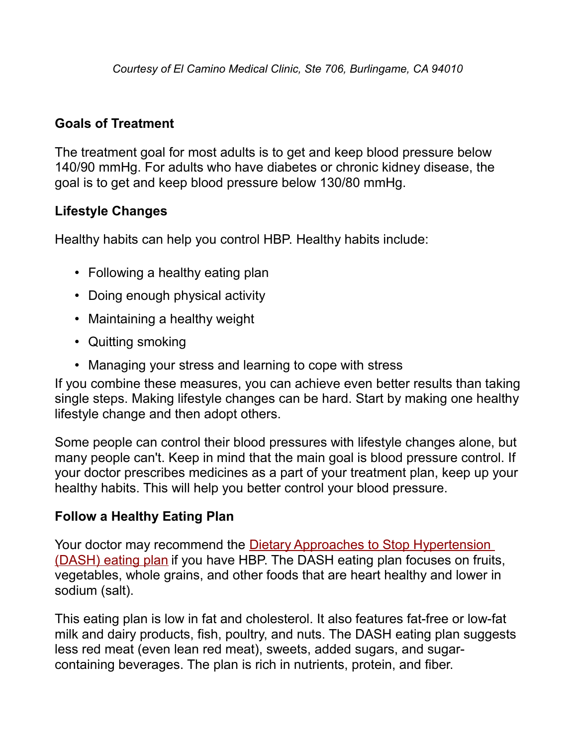## **Goals of Treatment**

The treatment goal for most adults is to get and keep blood pressure below 140/90 mmHg. For adults who have diabetes or chronic kidney disease, the goal is to get and keep blood pressure below 130/80 mmHg.

## **Lifestyle Changes**

Healthy habits can help you control HBP. Healthy habits include:

- Following a healthy eating plan
- Doing enough physical activity
- Maintaining a healthy weight
- Quitting smoking
- Managing your stress and learning to cope with stress

If you combine these measures, you can achieve even better results than taking single steps. Making lifestyle changes can be hard. Start by making one healthy lifestyle change and then adopt others.

Some people can control their blood pressures with lifestyle changes alone, but many people can't. Keep in mind that the main goal is blood pressure control. If your doctor prescribes medicines as a part of your treatment plan, keep up your healthy habits. This will help you better control your blood pressure.

## **Follow a Healthy Eating Plan**

Your doctor may recommend the [Dietary Approaches to Stop Hypertension](http://www.nhlbi.nih.gov/health/public/heart/hbp/dash/index.htm) [\(DASH\) eating plan](http://www.nhlbi.nih.gov/health/public/heart/hbp/dash/index.htm) if you have HBP. The DASH eating plan focuses on fruits, vegetables, whole grains, and other foods that are heart healthy and lower in sodium (salt).

This eating plan is low in fat and cholesterol. It also features fat-free or low-fat milk and dairy products, fish, poultry, and nuts. The DASH eating plan suggests less red meat (even lean red meat), sweets, added sugars, and sugarcontaining beverages. The plan is rich in nutrients, protein, and fiber.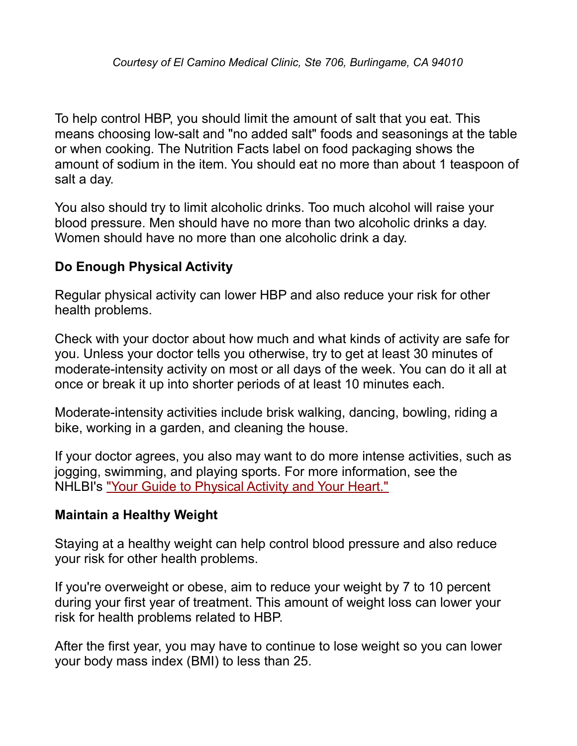To help control HBP, you should limit the amount of salt that you eat. This means choosing low-salt and "no added salt" foods and seasonings at the table or when cooking. The Nutrition Facts label on food packaging shows the amount of sodium in the item. You should eat no more than about 1 teaspoon of salt a day.

You also should try to limit alcoholic drinks. Too much alcohol will raise your blood pressure. Men should have no more than two alcoholic drinks a day. Women should have no more than one alcoholic drink a day.

## **Do Enough Physical Activity**

Regular physical activity can lower HBP and also reduce your risk for other health problems.

Check with your doctor about how much and what kinds of activity are safe for you. Unless your doctor tells you otherwise, try to get at least 30 minutes of moderate-intensity activity on most or all days of the week. You can do it all at once or break it up into shorter periods of at least 10 minutes each.

Moderate-intensity activities include brisk walking, dancing, bowling, riding a bike, working in a garden, and cleaning the house.

If your doctor agrees, you also may want to do more intense activities, such as jogging, swimming, and playing sports. For more information, see the NHLBI's ["Your Guide to Physical Activity and Your Heart."](http://www.nhlbi.nih.gov/health/public/heart/obesity/phy_active.htm)

#### **Maintain a Healthy Weight**

Staying at a healthy weight can help control blood pressure and also reduce your risk for other health problems.

If you're overweight or obese, aim to reduce your weight by 7 to 10 percent during your first year of treatment. This amount of weight loss can lower your risk for health problems related to HBP.

After the first year, you may have to continue to lose weight so you can lower your body mass index (BMI) to less than 25.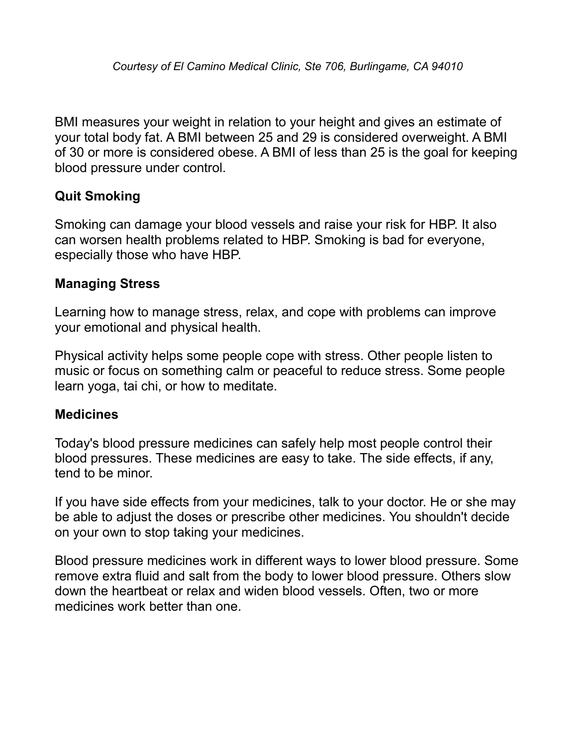BMI measures your weight in relation to your height and gives an estimate of your total body fat. A BMI between 25 and 29 is considered overweight. A BMI of 30 or more is considered obese. A BMI of less than 25 is the goal for keeping blood pressure under control.

## **Quit Smoking**

Smoking can damage your blood vessels and raise your risk for HBP. It also can worsen health problems related to HBP. Smoking is bad for everyone, especially those who have HBP.

#### **Managing Stress**

Learning how to manage stress, relax, and cope with problems can improve your emotional and physical health.

Physical activity helps some people cope with stress. Other people listen to music or focus on something calm or peaceful to reduce stress. Some people learn yoga, tai chi, or how to meditate.

#### **Medicines**

Today's blood pressure medicines can safely help most people control their blood pressures. These medicines are easy to take. The side effects, if any, tend to be minor.

If you have side effects from your medicines, talk to your doctor. He or she may be able to adjust the doses or prescribe other medicines. You shouldn't decide on your own to stop taking your medicines.

Blood pressure medicines work in different ways to lower blood pressure. Some remove extra fluid and salt from the body to lower blood pressure. Others slow down the heartbeat or relax and widen blood vessels. Often, two or more medicines work better than one.